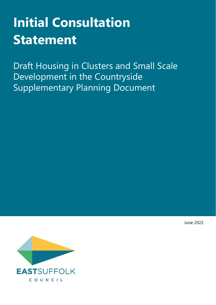# **Initial Consultation Statement**

Draft Housing in Clusters and Small Scale Development in the Countryside Supplementary Planning Document



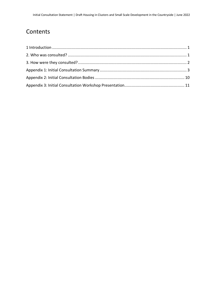## Contents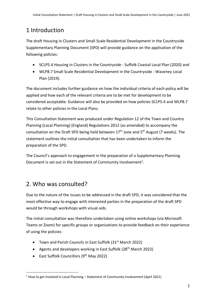## <span id="page-2-0"></span>1 Introduction

The draft Housing in Clusters and Small Scale Residential Development in the Countryside Supplementary Planning Document (SPD) will provide guidance on the application of the following policies:

- SCLP5.4 Housing in Clusters in the Countryside Suffolk Coastal Local Plan (2020) and
- WLP8.7 Small Scale Residential Development in the Countryside Waveney Local Plan (2019).

The document includes further guidance on how the individual criteria of each policy will be applied and how each of the relevant criteria are to be met for development to be considered acceptable. Guidance will also be provided on how policies SCLP5.4 and WLP8.7 relate to other policies in the Local Plans.

This Consultation Statement was produced under Regulation 12 of the Town and Country Planning (Local Planning) (England) Regulations 2012 (as amended) to accompany the consultation on the Draft SPD being held between 17<sup>th</sup> June and 5<sup>th</sup> August (7 weeks). The statement outlines the initial consultation that has been undertaken to inform the preparation of the SPD.

The Council's approach to engagement in the preparation of a Supplementary Planning Document is set out in the Statement of Community Involvement<sup>1</sup>.

## <span id="page-2-1"></span>2. Who was consulted?

Due to the nature of the issues to be addressed in the draft SPD, it was considered that the most effective way to engage with interested parties in the preparation of the draft SPD would be through workshops with visual aids.

The initial consultation was therefore undertaken using online workshops (via Microsoft Teams or Zoom) for specific groups or organisations to provide feedback on their experience of using the policies:

- Town and Parish Councils in East Suffolk (31<sup>st</sup> March 2022)
- Agents and developers working in East Suffolk (28<sup>th</sup> March 2022)
- East Suffolk Councillors (9th May 2022)

<sup>1</sup> How to get Involved in Local Planning – Statement of Community Involvement (April 2021)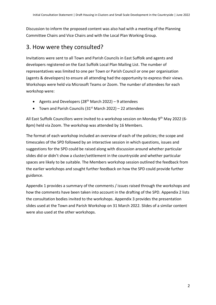Discussion to inform the proposed content was also had with a meeting of the Planning Committee Chairs and Vice Chairs and with the Local Plan Working Group.

#### <span id="page-3-0"></span>3. How were they consulted?

Invitations were sent to all Town and Parish Councils in East Suffolk and agents and developers registered on the East Suffolk Local Plan Mailing List. The number of representatives was limited to one per Town or Parish Council or one per organisation (agents & developers) to ensure all attending had the opportunity to express their views. Workshops were held via Microsoft Teams or Zoom. The number of attendees for each workshop were:

- Agents and Developers ( $28<sup>th</sup>$  March 2022) 9 attendees
- Town and Parish Councils (31<sup>st</sup> March 2022) 22 attendees

All East Suffolk Councillors were invited to a workshop session on Monday 9<sup>th</sup> May 2022 (6-8pm) held via Zoom. The workshop was attended by 16 Members.

The format of each workshop included an overview of each of the policies; the scope and timescales of the SPD followed by an interactive session in which questions, issues and suggestions for the SPD could be raised along with discussion around whether particular slides did or didn't show a cluster/settlement in the countryside and whether particular spaces are likely to be suitable. The Members workshop session outlined the feedback from the earlier workshops and sought further feedback on how the SPD could provide further guidance.

Appendix 1 provides a summary of the comments / issues raised through the workshops and how the comments have been taken into account in the drafting of the SPD. Appendix 2 lists the consultation bodies invited to the workshops. Appendix 3 provides the presentation slides used at the Town and Parish Workshop on 31 March 2022. Slides of a similar content were also used at the other workshops.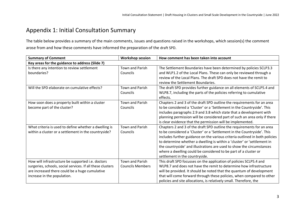#### Appendix 1: Initial Consultation Summary

The table below provides a summary of the main comments, issues and questions raised in the workshops, which session(s) the comment arose from and how these comments have informed the preparation of the draft SPD.

<span id="page-4-0"></span>

| <b>Summary of Comment</b>                                                                                                                                                                        | <b>Workshop session</b>                           | How comment has been taken into account                                                                                                                                                                                                                                                                                                                                                                                                                                                   |
|--------------------------------------------------------------------------------------------------------------------------------------------------------------------------------------------------|---------------------------------------------------|-------------------------------------------------------------------------------------------------------------------------------------------------------------------------------------------------------------------------------------------------------------------------------------------------------------------------------------------------------------------------------------------------------------------------------------------------------------------------------------------|
| Key areas for the guidance to address (Slide 7)                                                                                                                                                  |                                                   |                                                                                                                                                                                                                                                                                                                                                                                                                                                                                           |
| Is there any intention to review settlement<br>boundaries?                                                                                                                                       | <b>Town and Parish</b><br>Councils                | The Settlement Boundaries have been determined by policies SCLP3.3<br>and WLP1.2 of the Local Plans. These can only be reviewed through a<br>review of the Local Plans. The draft SPD does not have the remit to<br>review the Settlement Boundaries.                                                                                                                                                                                                                                     |
| Will the SPD elaborate on cumulative effects?                                                                                                                                                    | <b>Town and Parish</b><br>Councils                | The draft SPD provides further guidance on all elements of SCLP5.4 and<br>WLP8.7, including the parts of the policies referring to cumulative<br>effects.                                                                                                                                                                                                                                                                                                                                 |
| How soon does a property built within a cluster<br>become part of the cluster?                                                                                                                   | <b>Town and Parish</b><br>Councils                | Chapters 2 and 3 of the draft SPD outline the requirements for an area<br>to be considered a 'Cluster' or a 'Settlement in the Countryside'. This<br>includes paragraphs 2.9 and 3.8 which state that a development with<br>planning permission will be considered part of such an area only if there<br>is clear evidence that the permission will be implemented.                                                                                                                       |
| What criteria is used to define whether a dwelling is<br>within a cluster or a settlement in the countryside?                                                                                    | <b>Town and Parish</b><br>Councils                | Chapters 2 and 3 of the draft SPD outline the requirements for an area<br>to be considered a 'Cluster' or a 'Settlement in the Countryside'. This<br>includes further guidance on the various criteria outlined in both policies<br>to determine whether a dwelling is within a 'cluster' or 'settlement in<br>the countryside' and illustrations are used to show the circumstances<br>where a dwelling could be considered to be part of a cluster or<br>settlement in the countryside. |
| How will infrastructure be supported i.e. doctors<br>surgeries, schools, social services. If all these clusters<br>are increased there could be a huge cumulative<br>increase in the population. | <b>Town and Parish</b><br><b>Councils Members</b> | This draft SPD focusses on the application of policies SCLP5.4 and<br>WLP8.7 and does not have the remit to determine how infrastructure<br>will be provided. It should be noted that the quantum of development<br>that will come forward through these policies, when compared to other<br>policies and site allocations, is relatively small. Therefore, the                                                                                                                           |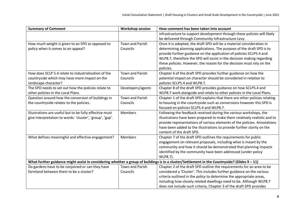| <b>Summary of Comment</b>                                                                                                                     | <b>Workshop session</b> | How comment has been taken into account                                    |
|-----------------------------------------------------------------------------------------------------------------------------------------------|-------------------------|----------------------------------------------------------------------------|
|                                                                                                                                               |                         | infrastructure to support development through these policies will likely   |
|                                                                                                                                               |                         | be delivered through Community Infrastructure Levy.                        |
| How much weight is given to an SPD as opposed to                                                                                              | <b>Town and Parish</b>  | Once it is adopted, the draft SPD will be a material consideration in      |
| policy when it comes to an appeal?                                                                                                            | Councils                | determining planning applications. The purpose of the draft SPD is to      |
|                                                                                                                                               |                         | provide further guidance on the application of policies SCLP5.4 and        |
|                                                                                                                                               |                         | WLP8.7, therefore the SPD will assist in the decision making regarding     |
|                                                                                                                                               |                         | these policies. However, the reason for the decision must rely on the      |
|                                                                                                                                               |                         | policies.                                                                  |
| How does SCLP 5.4 relate to industrialisation of the                                                                                          | <b>Town and Parish</b>  | Chapter 6 of the draft SPD provides further guidance on how the            |
| countryside which may have more impact on the                                                                                                 | Councils                | potential impact on character should be considered in relation to          |
| landscape character?                                                                                                                          |                         | policies SCLP5.4 and WLP8.7.                                               |
| The SPD needs to set out how the policies relate to                                                                                           | Developers/agents       | Chapter 8 of the draft SPD provides guidance on how SCLP5.4 and            |
| other policies in the Local Plans.                                                                                                            |                         | WLP8.7 work alongside and relate to other policies in the Local Plans.     |
| Question around how the conversion of buildings in                                                                                            | Town and Parish         | Chapter 1 of the draft SPD explains that there are other policies relating |
| the countryside relates to the policies.                                                                                                      | Councils                | to housing in the countryside such as conversions however this SPD is      |
|                                                                                                                                               |                         | focused on policies SCLP5.4 and WLP8.7.                                    |
| Illustrations are useful but to be fully effective must                                                                                       | <b>Members</b>          | Following the feedback received during the various workshops, the          |
| give interpretation to words: 'cluster', 'group', 'gap'.                                                                                      |                         | illustrations have been prepared to make them relatively realistic and to  |
|                                                                                                                                               |                         | provide representations of various elements of the policies. Annotations   |
|                                                                                                                                               |                         | have been added to the illustrations to provide further clarity on the     |
|                                                                                                                                               |                         | content of the draft SPD.                                                  |
| What defines meaningful and effective engagement?                                                                                             | <b>Members</b>          | Chapter 7 of the draft SPD outlines the requirements for public            |
|                                                                                                                                               |                         | engagement on relevant proposals, including what is meant by the           |
|                                                                                                                                               |                         | community and how it should be demonstrated that planning impacts          |
|                                                                                                                                               |                         | identified by the community have been addressed (under policy              |
|                                                                                                                                               |                         | WLP8.7).                                                                   |
| What further guidance might assist in considering whether a group of buildings is in a cluster/Settlement in the Countryside? (Slides 9 - 11) |                         |                                                                            |
| Do gardens have to be conjoined or can they have                                                                                              | Town and Parish         | Chapter 2 of the draft SPD outline the requirements for an area to be      |
| farmland between them to be a cluster?                                                                                                        | Councils                | considered a 'Cluster'. This includes further guidance on the various      |
|                                                                                                                                               |                         | criteria outlined in the policy to determine the appropriate areas,        |
|                                                                                                                                               |                         | including how closely related dwellings need to be. Although WLP8.7        |
|                                                                                                                                               |                         | does not include such criteria, Chapter 3 of the draft SPD provides        |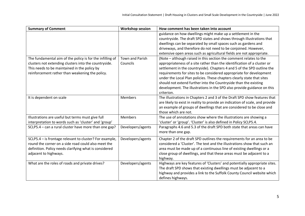| <b>Summary of Comment</b>                                 | <b>Workshop session</b> | How comment has been taken into account                                       |
|-----------------------------------------------------------|-------------------------|-------------------------------------------------------------------------------|
|                                                           |                         | guidance on how dwellings might make up a settlement in the                   |
|                                                           |                         | countryside. The draft SPD states and shows through illustrations that        |
|                                                           |                         | dwellings can be separated by small spaces such as gardens and                |
|                                                           |                         | driveways, and therefore do not need to be conjoined. However,                |
|                                                           |                         | extensive open areas such as agricultural fields are not appropriate.         |
| The fundamental aim of the policy is for the infilling of | <b>Town and Parish</b>  | (Note - although raised in this section the comment relates to the            |
| clusters not extending clusters into the countryside.     | Councils                | appropriateness of a site rather than the identification of a cluster or      |
| This needs to be maintained in the policy by              |                         | settlement in the countryside). Chapters 4 and 5 of the SPD outline the       |
| reinforcement rather than weakening the policy.           |                         | requirements for sites to be considered appropriate for development           |
|                                                           |                         | under the Local Plan policies. These chapters clearly state that sites        |
|                                                           |                         | should not extend further into the Countryside than the existing              |
|                                                           |                         | development. The illustrations in the SPD also provide guidance on this       |
|                                                           |                         | criterion.                                                                    |
| It is dependent on scale                                  | Members                 | The illustrations in Chapters 2 and 3 of the Draft SPD show features that     |
|                                                           |                         | are likely to exist in reality to provide an indication of scale, and provide |
|                                                           |                         | an example of groups of dwellings that are considered to be close and         |
|                                                           |                         | those which are not.                                                          |
| Illustrations are useful but terms must give full         | Members                 | The use of annotations show where the illustrations are showing a             |
| interpretation to words such as 'cluster' and 'group'     |                         | 'cluster' or 'group'. 'Cluster' is also defined in Policy SCLP5.4.            |
| SCLP5.4 - can a rural cluster have more than one gap?     | Developers/agents       | Paragraphs 4.6 and 5.3 of the draft SPD both state that areas can have        |
|                                                           |                         | more than one gap.                                                            |
| SCLP5.4 - is frontage relevant to cluster? For example,   | Developers/agents       | Chapter 2 of the draft SPD outlines the requirements for an area to be        |
| round the corner on a side road could also meet the       |                         | considered a 'Cluster'. The text and the illustrations show that such an      |
| definition. Policy needs clarifying what is considered    |                         | area must be made up of a continuous line of existing dwellings or a          |
| adjacent to highways.                                     |                         | close group of dwellings, and that these areas must be adjacent to a          |
|                                                           |                         | highway.                                                                      |
| What are the roles of roads and private drives?           | Developers/agents       | Highways are key features of 'Clusters' and potentially appropriate sites.    |
|                                                           |                         | The draft SPD shows that existing dwellings must be adjacent to a             |
|                                                           |                         | highway and provides a link to the Suffolk County Council website which       |
|                                                           |                         | defines highways.                                                             |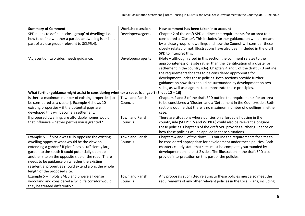| <b>Summary of Comment</b>                                                     | <b>Workshop session</b> | How comment has been taken into account                                    |
|-------------------------------------------------------------------------------|-------------------------|----------------------------------------------------------------------------|
| SPD needs to define a 'close group' of dwellings i.e.                         | Developers/agents       | Chapter 2 of the draft SPD outlines the requirements for an area to be     |
| how to define whether a particular dwelling is or isn't                       |                         | considered a 'Cluster'. This includes further guidance on what is meant    |
| part of a close group (relevant to SCLP5.4).                                  |                         | by a 'close group' of dwellings and how the Council will consider these    |
|                                                                               |                         | closely related or not. Illustrations have also been included in the draft |
|                                                                               |                         | SPD to interpret this.                                                     |
| 'Adjacent on two sides' needs guidance.                                       | Developers/agents       | (Note - although raised in this section the comment relates to the         |
|                                                                               |                         | appropriateness of a site rather than the identification of a cluster or   |
|                                                                               |                         | settlement in the countryside). Chapters 4 and 5 of the draft SPD outline  |
|                                                                               |                         | the requirements for sites to be considered appropriate for                |
|                                                                               |                         | development under these policies. Both sections provide further            |
|                                                                               |                         | guidance on how sites should be surrounded by development on two           |
|                                                                               |                         | sides, as well as diagrams to demonstrate these principles.                |
| What further guidance might assist in considering whether a space is a 'gap'? |                         | (Slides $12 - 16$ )                                                        |
| Is there a maximum number of existing properties [to                          | Town and Parish         | Chapters 2 and 3 of the draft SPD outline the requirements for an area     |
| be considered as a cluster]. Example 4 shows 10                               | Councils                | to be considered a 'Cluster' and a 'Settlement in the Countryside'. Both   |
| existing properties - if the potential gaps are                               |                         | sections outline that there is no maximum number of dwellings in either    |
| developed this will become a settlement.                                      |                         | case.                                                                      |
| If proposed dwellings are affordable homes would                              | <b>Town and Parish</b>  | There are situations where policies on affordable housing in the           |
| that influence whether permission is granted?                                 | Councils                | countryside (SCLP11.5 and WLP8.6) could also be relevant alongside         |
|                                                                               |                         | these policies. Chapter 8 of the draft SPD provides further guidance on    |
|                                                                               |                         | how these policies will be applied in these situations.                    |
| Example $5 - if$ plot 2 was fully opposite the existing                       | Town and Parish         | Chapters 4 and 5 of the draft SPD outline the requirements for sites to    |
| dwelling opposite what would be the view on                                   | Councils                | be considered appropriate for development under these policies. Both       |
| extending a garden? If plot 2 has a sufficiently large                        |                         | chapters clearly state that sites must be completely surrounded by         |
| garden to the south it could potentially open up                              |                         | development on at least 2 sides. The illustration in the draft SPD also    |
| another site on the opposite side of the road. There                          |                         | provide interpretation on this part of the policies.                       |
| needs to be guidance on whether the existing                                  |                         |                                                                            |
| residential properties should extend along the whole                          |                         |                                                                            |
| length of the proposed site.                                                  |                         |                                                                            |
| Example 5 - if plots $3/4/5$ and 6 were all dense                             | Town and Parish         | Any proposals submitted relating to these policies must also meet the      |
| woodland and considered a 'wildlife corridor would                            | Councils                | requirements of any other relevant policies in the Local Plans, including  |
| they be treated differently?                                                  |                         |                                                                            |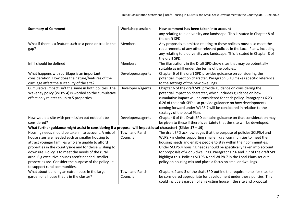| <b>Summary of Comment</b>                                                                                        | <b>Workshop session</b> | How comment has been taken into account                                                                                                            |
|------------------------------------------------------------------------------------------------------------------|-------------------------|----------------------------------------------------------------------------------------------------------------------------------------------------|
|                                                                                                                  |                         | any relating to biodiversity and landscape. This is stated in Chapter 8 of<br>the draft SPD.                                                       |
|                                                                                                                  | Members                 |                                                                                                                                                    |
| What if there is a feature such as a pond or tree in the                                                         |                         | Any proposals submitted relating to these policies must also meet the<br>requirements of any other relevant policies in the Local Plans, including |
| gap?                                                                                                             |                         | any relating to biodiversity and landscape. This is stated in Chapter 8 of                                                                         |
|                                                                                                                  |                         | the draft SPD.                                                                                                                                     |
| Infill should be defined                                                                                         | <b>Members</b>          | The illustrations in the Draft SPD show sites that may be potentially                                                                              |
|                                                                                                                  |                         | suitable as infill under the terms of the policies.                                                                                                |
| What happens with curtilage is an important                                                                      | Developers/agents       | Chapter 6 of the draft SPD provides guidance on considering the                                                                                    |
| consideration. How does the nature/features of the                                                               |                         | potential impact on character. Paragraph 6.10 makes specific reference                                                                             |
| curtilage affect the suitability of the site?                                                                    |                         | to the settings of the new dwellings.                                                                                                              |
| Cumulative impact isn't the same in both policies. The                                                           | Developers/agents       | Chapter 6 of the draft SPD provide guidance on considering the                                                                                     |
| Waveney policy (WLP5.4) is worded so the cumulative                                                              |                         | potential impact on character, which includes guidance on how                                                                                      |
| effect only relates to up to 5 properties.                                                                       |                         | cumulative impact will be considered for each policy. Paragraphs 6.23 -                                                                            |
|                                                                                                                  |                         | 6.26 of the draft SPD also provide guidance on how developments                                                                                    |
|                                                                                                                  |                         | coming forward under WLP8.7 will be considered in relation to the                                                                                  |
|                                                                                                                  |                         | strategy of the Local Plan.                                                                                                                        |
| How would a site with permission but not built be                                                                | Developers/agents       | Chapter 6 of the Draft SPD contains guidance on that consideration may                                                                             |
| considered?                                                                                                      |                         | be given to these if there is certainty that the site will be developed.                                                                           |
| What further guidance might assist in considering if a proposal will impact local character? (Slides $17 - 19$ ) |                         |                                                                                                                                                    |
| Housing needs should be taken into account. A mix of                                                             | <b>Town and Parish</b>  | The draft SPD acknowledges that the purpose of policies SCLP5.4 and                                                                                |
| house sizes are needed such as smaller housing to                                                                | Councils                | WLP8.7 includes supporting smaller rural communities to meet their                                                                                 |
| attract younger families who are unable to afford                                                                |                         | housing needs and enable people to stay within their communities.                                                                                  |
| properties in the countryside and for those wishing to                                                           |                         | Under SCLP5.4 housing needs should be specifically taken into account                                                                              |
| downsize. Policy is to meet the needs of the rural                                                               |                         | for proposals of 4 or 5 dwellings. Paragraphs 7.6 and 7.7 of the draft SPD                                                                         |
| area. Big executive houses aren't needed, smaller                                                                |                         | highlight this. Policies SCLP5.4 and WLP8.7 in the Local Plans set out                                                                             |
| properties are. Consider the purpose of the policy i.e.                                                          |                         | policy on housing mix and place a focus on smaller dwellings.                                                                                      |
| to support rural communities.                                                                                    |                         |                                                                                                                                                    |
| What about building an extra house in the large                                                                  | <b>Town and Parish</b>  | Chapters 4 and 5 of the draft SPD outline the requirements for sites to                                                                            |
| garden of a house that is in the cluster?                                                                        | Councils                | be considered appropriate for development under these policies. This                                                                               |
|                                                                                                                  |                         | could include a garden of an existing house if the site and proposal                                                                               |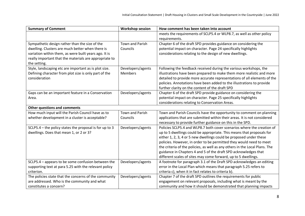| <b>Summary of Comment</b>                               | <b>Workshop session</b> | How comment has been taken into account                                     |
|---------------------------------------------------------|-------------------------|-----------------------------------------------------------------------------|
|                                                         |                         | meets the requirements of SCLP5.4 or WLP8.7, as well as other policy        |
|                                                         |                         | requirements.                                                               |
| Sympathetic design rather than the size of the          | <b>Town and Parish</b>  | Chapter 6 of the draft SPD provides guidance on considering the             |
| dwelling. Clusters are much better when there is        | Councils                | potential impact on character. Page 24 specifically highlights              |
| variation within them, as were built years ago. It is   |                         | considerations relating to the design of new dwellings.                     |
| really important that the materials are appropriate to  |                         |                                                                             |
| the setting.                                            |                         |                                                                             |
| Style, landscaping etc are important as is plot size.   | Developers/agents       | Following the feedback received during the various workshops, the           |
| Defining character from plot size is only part of the   | <b>Members</b>          | illustrations have been prepared to make them more realistic and more       |
| consideration                                           |                         | detailed to provide more accurate representations of all elements of the    |
|                                                         |                         | policies. Annotations have been added to the illustrations to provide       |
|                                                         |                         | further clarity on the content of the draft SPD                             |
| Gaps can be an important feature in a Conservation      | Developers/agents       | Chapter 6 of the draft SPD provide guidance on considering the              |
| Area.                                                   |                         | potential impact on character. Page 25 specifically highlights              |
|                                                         |                         | considerations relating to Conservation Areas.                              |
| <b>Other questions and comments</b>                     |                         |                                                                             |
| How much input will the Parish Council have as to       | <b>Town and Parish</b>  | Town and Parish Councils have the opportunity to comment on planning        |
| whether development in a cluster is acceptable?         | Councils                | applications that are submitted within their areas. It is not considered    |
|                                                         |                         | necessary to provide further guidance on this in the SPD.                   |
| SCLP5.4 - the policy states the proposal is for up to 3 | Developers/agents       | Policies SCLP5.4 and WLP8.7 both cover scenarios where the creation of      |
| dwellings. Does that mean 1, or 2 or 3?                 |                         | up to 5 dwellings could be appropriate. This means that proposals for       |
|                                                         |                         | either 1, 2, 3, 4 or 5 new dwellings could be proposed under these          |
|                                                         |                         | policies. However, in order to be permitted they would need to meet         |
|                                                         |                         | the criteria of the policies, as well as any others in the Local Plans. The |
|                                                         |                         | guidance in Chapters 4 and 5 of the draft SPD acknowledges that             |
|                                                         |                         | different scales of sites may come forward, up to 5 dwellings.              |
| SCLP5.4 - appears to be some confusion between the      | Developers/agents       | A footnote for paragraph 3.1 of the Draft SPD acknowledges an editing       |
| supporting text at para 5.25 with the relevant policy   |                         | error in the Local Plan which means that paragraph 5.25 refers to           |
| criterion.                                              |                         | criteria c), when it in fact relates to criteria b).                        |
| The policies state that the concerns of the community   | Developers/agents       | Chapter 7 of the draft SPD outlines the requirements for public             |
| are addressed. Who is the community and what            |                         | engagement on relevant proposals, including what is meant by the            |
| constitutes a concern?                                  |                         | community and how it should be demonstrated that planning impacts           |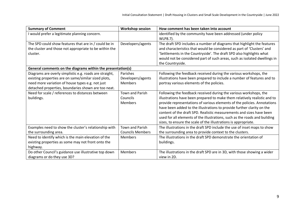| <b>Summary of Comment</b>                                          | <b>Workshop session</b> | How comment has been taken into account                                                                                                        |
|--------------------------------------------------------------------|-------------------------|------------------------------------------------------------------------------------------------------------------------------------------------|
| I would prefer a legitimate planning concern.                      |                         | identified by the community have been addressed (under policy<br>WLP8.7).                                                                      |
| The SPD could show features that are in / could be in              | Developers/agents       | The draft SPD includes a number of diagrams that highlight the features                                                                        |
| the cluster and those not appropriate to be within the<br>cluster. |                         | and characteristics that would be considered as part of 'Clusters' and<br>'Settlements in the Countryside'. The draft SPD also highlights what |
|                                                                    |                         | would not be considered part of such areas, such as isolated dwellings in                                                                      |
|                                                                    |                         | the Countryside.                                                                                                                               |
| General comments on the diagrams within the presentation(s)        |                         |                                                                                                                                                |
| Diagrams are overly simplistic e.g. roads are straight,            | Parishes                | Following the feedback received during the various workshops, the                                                                              |
| existing properties are on same/similar sized plots,               | Developers/agents       | illustrations have been prepared to include a number of features and to                                                                        |
| need more variation of house types e.g. not just                   | <b>Members</b>          | portray various elements of the policies.                                                                                                      |
| detached properties, boundaries shown are too neat.                |                         |                                                                                                                                                |
| Need for scale / references to distances between                   | <b>Town and Parish</b>  | Following the feedback received during the various workshops, the                                                                              |
| buildings.                                                         | Councils                | illustrations have been prepared to make them relatively realistic and to                                                                      |
|                                                                    | Members                 | provide representations of various elements of the policies. Annotations                                                                       |
|                                                                    |                         | have been added to the illustrations to provide further clarity on the                                                                         |
|                                                                    |                         | content of the draft SPD. Realistic measurements and sizes have been                                                                           |
|                                                                    |                         | used for all elements of the illustrations, such as the roads and building                                                                     |
|                                                                    |                         | sizes, to ensure the scale of the illustrations is appropriate.                                                                                |
| Examples need to show the cluster's relationship with              | <b>Town and Parish</b>  | The illustrations in the draft SPD include the use of inset maps to show                                                                       |
| the surrounding area.                                              | <b>Councils Members</b> | the surrounding area to provide context to the clusters.                                                                                       |
| Need to identify which is the main elevation of the                | <b>Members</b>          | The illustrations in the draft SPD demonstrate the orientation of                                                                              |
| existing properties as some may not front onto the                 |                         | buildings.                                                                                                                                     |
| highway.                                                           |                         |                                                                                                                                                |
| Do other Council's guidance use illustrative top down              | Members                 | The illustrations in the draft SPD are in 3D, with those showing a wider                                                                       |
| diagrams or do they use 3D?                                        |                         | view in 2D.                                                                                                                                    |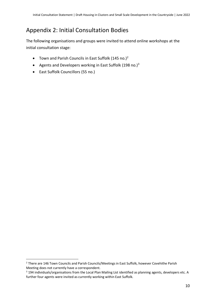### <span id="page-11-0"></span>Appendix 2: Initial Consultation Bodies

The following organisations and groups were invited to attend online workshops at the initial consultation stage:

- Town and Parish Councils in East Suffolk  $(145 \text{ no.})^2$
- Agents and Developers working in East Suffolk (198 no.) $3$
- East Suffolk Councillors (55 no.)

<sup>&</sup>lt;sup>2</sup> There are 146 Town Councils and Parish Councils/Meetings in East Suffolk, however Covehithe Parish Meeting does not currently have a correspondent.

<sup>&</sup>lt;sup>3</sup> 194 individuals/organisations from the Local Plan Mailing List identified as planning agents, developers etc. A further four agents were invited as currently working within East Suffolk.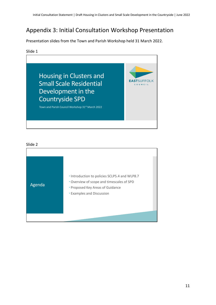### <span id="page-12-0"></span>Appendix 3: Initial Consultation Workshop Presentation

Presentation slides from the Town and Parish Workshop held 31 March 2022.

#### Slide 1



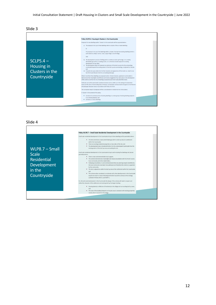

|--|

| Policy WLP8.7 - Small Scale Residential Development in the Countryside<br>Small scale residential development in the Countryside of up to three dwellings will be permitted where:<br>* The site constitutes a clearly identifiable gap within a built up area of a settlement<br>within the Countryside:<br>* There are existing residential properties on two sides of the site; and<br>* The development does not extend further into the undeveloped Countryside than the<br>existing extent of the built up area surrounding the site.<br>Small scale residential development in the Countryside of up to and including five dwellings will also be<br>* There is clear and demonstrable local support:<br>* The scheme demonstrates meaningful and robust consultation with the Parish Council,<br>local community and other stakeholders;<br>Following consultation, it can be demonstrated that any planning impacts identified by<br>the local community have been fully addressed and therefore the scheme is supported<br>by the community;<br>* The site is adjacent or within the built up area of the settlement within the Countryside;<br>The scheme when considered cumulatively with other developments in the Countryside<br>would not result in a level of development which would be contrary to the strategy<br>outlined in Policies WLP1.1 and WLP7.1.<br>For all small scale development in the Countryside the design of the scheme will need to respect and<br>reflect the character of the settlement and existing built up frontage including:<br>Housing density is reflective of the density in the village and surrounding built up area;<br>" The ratio of the building footprint to the plot area is consistent with existing properties<br>nearby which characterise the village. | $WLP8.7 - Small$<br><b>Scale</b><br><b>Residential</b><br>Development<br>in the<br>Countryside |
|---------------------------------------------------------------------------------------------------------------------------------------------------------------------------------------------------------------------------------------------------------------------------------------------------------------------------------------------------------------------------------------------------------------------------------------------------------------------------------------------------------------------------------------------------------------------------------------------------------------------------------------------------------------------------------------------------------------------------------------------------------------------------------------------------------------------------------------------------------------------------------------------------------------------------------------------------------------------------------------------------------------------------------------------------------------------------------------------------------------------------------------------------------------------------------------------------------------------------------------------------------------------------------------------------------------------------------------------------------------------------------------------------------------------------------------------------------------------------------------------------------------------------------------------------------------------------------------------------------------------------------------------------------------------------------------------------------------------------------------------------------------------------------------------------------------------|------------------------------------------------------------------------------------------------|
|---------------------------------------------------------------------------------------------------------------------------------------------------------------------------------------------------------------------------------------------------------------------------------------------------------------------------------------------------------------------------------------------------------------------------------------------------------------------------------------------------------------------------------------------------------------------------------------------------------------------------------------------------------------------------------------------------------------------------------------------------------------------------------------------------------------------------------------------------------------------------------------------------------------------------------------------------------------------------------------------------------------------------------------------------------------------------------------------------------------------------------------------------------------------------------------------------------------------------------------------------------------------------------------------------------------------------------------------------------------------------------------------------------------------------------------------------------------------------------------------------------------------------------------------------------------------------------------------------------------------------------------------------------------------------------------------------------------------------------------------------------------------------------------------------------------------|------------------------------------------------------------------------------------------------|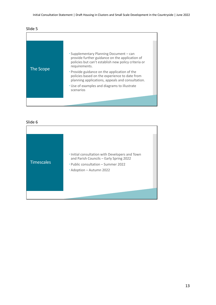

| The Scope | • Supplementary Planning Document – can<br>provide further guidance on the application of<br>policies but can't establish new policy criteria or<br>requirements.<br>• Provide guidance on the application of the<br>policies based on the experience to date from<br>planning applications, appeals and consultation.<br>• Use of examples and diagrams to illustrate<br>scenarios |  |
|-----------|-------------------------------------------------------------------------------------------------------------------------------------------------------------------------------------------------------------------------------------------------------------------------------------------------------------------------------------------------------------------------------------|--|
|           |                                                                                                                                                                                                                                                                                                                                                                                     |  |

| <b>Timescales</b> | . Initial consultation with Developers and Town<br>and Parish Councils - Early Spring 2022<br>• Public consultation – Summer 2022<br>· Adoption - Autumn 2022 |
|-------------------|---------------------------------------------------------------------------------------------------------------------------------------------------------------|
|                   |                                                                                                                                                               |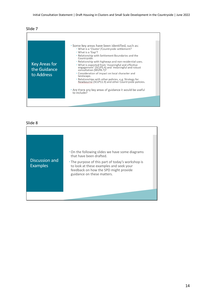

| <b>Key Areas for</b><br>the Guidance<br>to Address | • Some key areas have been identified, such as:<br>. What is a 'Cluster'/Countryside settlement?<br>• What is a 'Gap'?<br>• Relationship with Settlement Boundaries and the<br>Countryside.<br>. Relationship with highways and non-residential uses.<br>• What is expected from 'meaningful and effective<br>engagement' (SCLP5.4) and 'meaningful and robust<br>consultation (WLP8.7)?<br>• Consideration of impact on local character and<br>landscape.<br>· Relationships with other policies, e.g. Strategy for<br>Newbourne (SCLP11.9) and other Countryside policies.<br>• Are there any key areas of guidance it would be useful<br>to include? |  |
|----------------------------------------------------|---------------------------------------------------------------------------------------------------------------------------------------------------------------------------------------------------------------------------------------------------------------------------------------------------------------------------------------------------------------------------------------------------------------------------------------------------------------------------------------------------------------------------------------------------------------------------------------------------------------------------------------------------------|--|
|                                                    |                                                                                                                                                                                                                                                                                                                                                                                                                                                                                                                                                                                                                                                         |  |

| Discussion and<br><b>Examples</b> | • On the following slides we have some diagrams<br>that have been drafted.<br>• The purpose of this part of today's workshop is |  |
|-----------------------------------|---------------------------------------------------------------------------------------------------------------------------------|--|
|                                   | to look at these examples and seek your<br>feedback on how the SPD might provide<br>guidance on these matters.                  |  |
|                                   |                                                                                                                                 |  |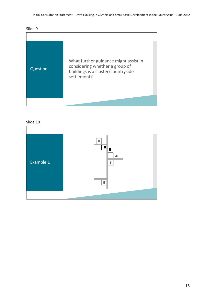



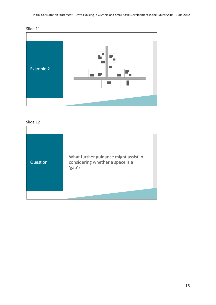



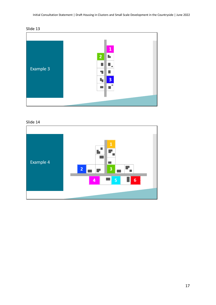



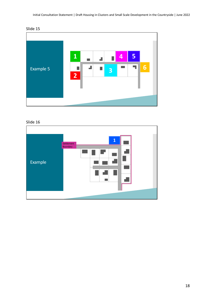



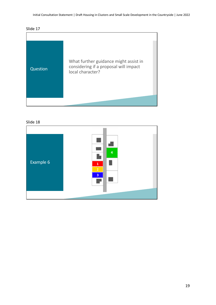